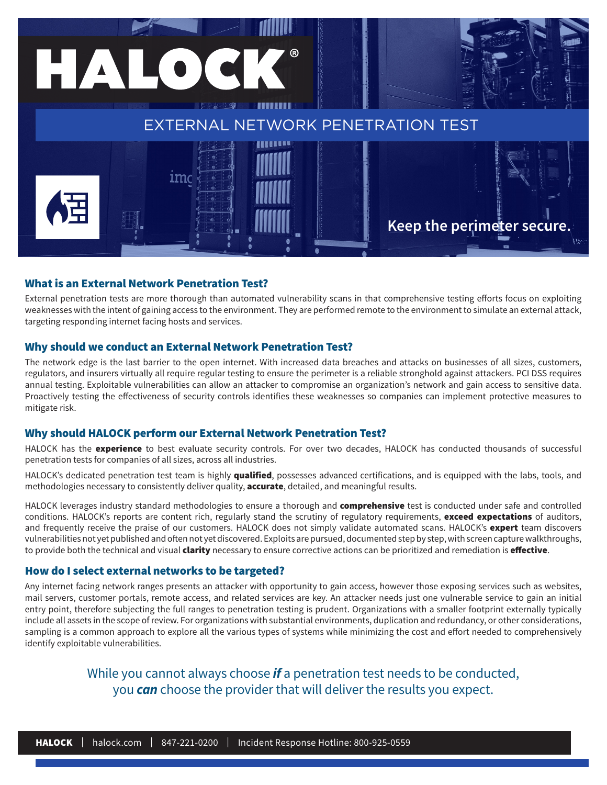

### What is an External Network Penetration Test?

External penetration tests are more thorough than automated vulnerability scans in that comprehensive testing efforts focus on exploiting weaknesses with the intent of gaining access to the environment. They are performed remote to the environment to simulate an external attack, targeting responding internet facing hosts and services.

#### Why should we conduct an External Network Penetration Test?

The network edge is the last barrier to the open internet. With increased data breaches and attacks on businesses of all sizes, customers, regulators, and insurers virtually all require regular testing to ensure the perimeter is a reliable stronghold against attackers. PCI DSS requires annual testing. Exploitable vulnerabilities can allow an attacker to compromise an organization's network and gain access to sensitive data. Proactively testing the effectiveness of security controls identifies these weaknesses so companies can implement protective measures to mitigate risk.

#### Why should HALOCK perform our External Network Penetration Test?

HALOCK has the experience to best evaluate security controls. For over two decades, HALOCK has conducted thousands of successful penetration tests for companies of all sizes, across all industries.

HALOCK's dedicated penetration test team is highly qualified, possesses advanced certifications, and is equipped with the labs, tools, and methodologies necessary to consistently deliver quality, **accurate**, detailed, and meaningful results.

HALOCK leverages industry standard methodologies to ensure a thorough and comprehensive test is conducted under safe and controlled conditions. HALOCK's reports are content rich, regularly stand the scrutiny of regulatory requirements, exceed expectations of auditors, and frequently receive the praise of our customers. HALOCK does not simply validate automated scans. HALOCK's expert team discovers vulnerabilities not yet published and often not yet discovered. Exploits are pursued, documented step by step, with screen capture walkthroughs, to provide both the technical and visual *clarity* necessary to ensure corrective actions can be prioritized and remediation is *effective*.

#### How do I select external networks to be targeted?

Any internet facing network ranges presents an attacker with opportunity to gain access, however those exposing services such as websites, mail servers, customer portals, remote access, and related services are key. An attacker needs just one vulnerable service to gain an initial entry point, therefore subjecting the full ranges to penetration testing is prudent. Organizations with a smaller footprint externally typically include all assets in the scope of review. For organizations with substantial environments, duplication and redundancy, or other considerations, sampling is a common approach to explore all the various types of systems while minimizing the cost and effort needed to comprehensively identify exploitable vulnerabilities.

> While you cannot always choose *if* a penetration test needs to be conducted, you *can* choose the provider that will deliver the results you expect.